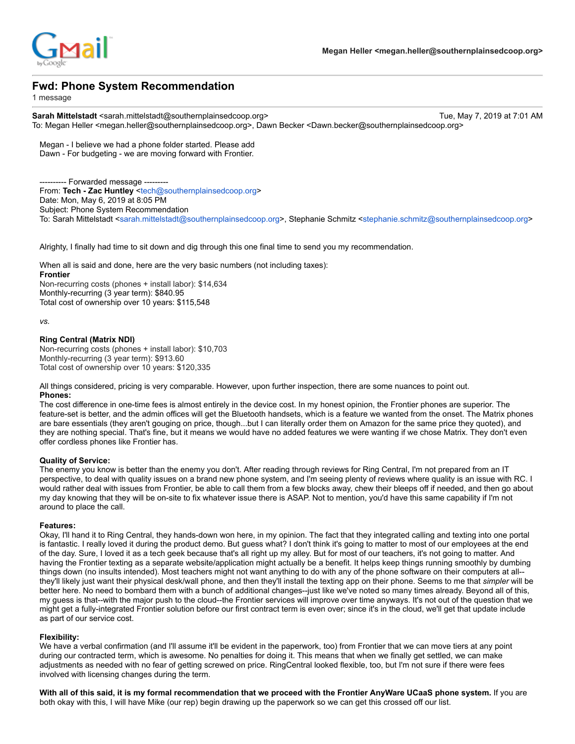

# **Fwd: Phone System Recommendation**

1 message

Sarah Mittelstadt <sarah.mittelstadt@southernplainsedcoop.org> Tue, May 7, 2019 at 7:01 AM To: Megan Heller <megan.heller@southernplainsedcoop.org>, Dawn Becker <Dawn.becker@southernplainsedcoop.org>

Megan - I believe we had a phone folder started. Please add Dawn - For budgeting - we are moving forward with Frontier.

--- Forwarded message ----From: **Tech - Zac Huntley** [<tech@southernplainsedcoop.org>](mailto:tech@southernplainsedcoop.org) Date: Mon, May 6, 2019 at 8:05 PM Subject: Phone System Recommendation To: Sarah Mittelstadt <[sarah.mittelstadt@southernplainsedcoop.org](mailto:sarah.mittelstadt@southernplainsedcoop.org)>, Stephanie Schmitz <[stephanie.schmitz@southernplainsedcoop.org](mailto:stephanie.schmitz@southernplainsedcoop.org)>

Alrighty, I finally had time to sit down and dig through this one final time to send you my recommendation.

When all is said and done, here are the very basic numbers (not including taxes): **Frontier** Non-recurring costs (phones + install labor): \$14,634 Monthly-recurring (3 year term): \$840.95 Total cost of ownership over 10 years: \$115,548

*vs.*

## **Ring Central (Matrix NDI)**

Non-recurring costs (phones + install labor): \$10,703 Monthly-recurring (3 year term): \$913.60 Total cost of ownership over 10 years: \$120,335

All things considered, pricing is very comparable. However, upon further inspection, there are some nuances to point out. **Phones:**

The cost difference in one-time fees is almost entirely in the device cost. In my honest opinion, the Frontier phones are superior. The feature-set is better, and the admin offices will get the Bluetooth handsets, which is a feature we wanted from the onset. The Matrix phones are bare essentials (they aren't gouging on price, though...but I can literally order them on Amazon for the same price they quoted), and they are nothing special. That's fine, but it means we would have no added features we were wanting if we chose Matrix. They don't even offer cordless phones like Frontier has.

### **Quality of Service:**

The enemy you know is better than the enemy you don't. After reading through reviews for Ring Central, I'm not prepared from an IT perspective, to deal with quality issues on a brand new phone system, and I'm seeing plenty of reviews where quality is an issue with RC. I would rather deal with issues from Frontier, be able to call them from a few blocks away, chew their bleeps off if needed, and then go about my day knowing that they will be on-site to fix whatever issue there is ASAP. Not to mention, you'd have this same capability if I'm not around to place the call.

### **Features:**

Okay, I'll hand it to Ring Central, they hands-down won here, in my opinion. The fact that they integrated calling and texting into one portal is fantastic. I really loved it during the product demo. But guess what? I don't think it's going to matter to most of our employees at the end of the day. Sure, I loved it as a tech geek because that's all right up my alley. But for most of our teachers, it's not going to matter. And having the Frontier texting as a separate website/application might actually be a benefit. It helps keep things running smoothly by dumbing things down (no insults intended). Most teachers might not want anything to do with any of the phone software on their computers at all- they'll likely just want their physical desk/wall phone, and then they'll install the texting app on their phone. Seems to me that *simpler* will be better here. No need to bombard them with a bunch of additional changes--just like we've noted so many times already. Beyond all of this, my guess is that--with the major push to the cloud--the Frontier services will improve over time anyways. It's not out of the question that we might get a fully-integrated Frontier solution before our first contract term is even over; since it's in the cloud, we'll get that update include as part of our service cost.

## **Flexibility:**

We have a verbal confirmation (and I'll assume it'll be evident in the paperwork, too) from Frontier that we can move tiers at any point during our contracted term, which is awesome. No penalties for doing it. This means that when we finally get settled, we can make adjustments as needed with no fear of getting screwed on price. RingCentral looked flexible, too, but I'm not sure if there were fees involved with licensing changes during the term.

**With all of this said, it is my formal recommendation that we proceed with the Frontier AnyWare UCaaS phone system.** If you are both okay with this, I will have Mike (our rep) begin drawing up the paperwork so we can get this crossed off our list.